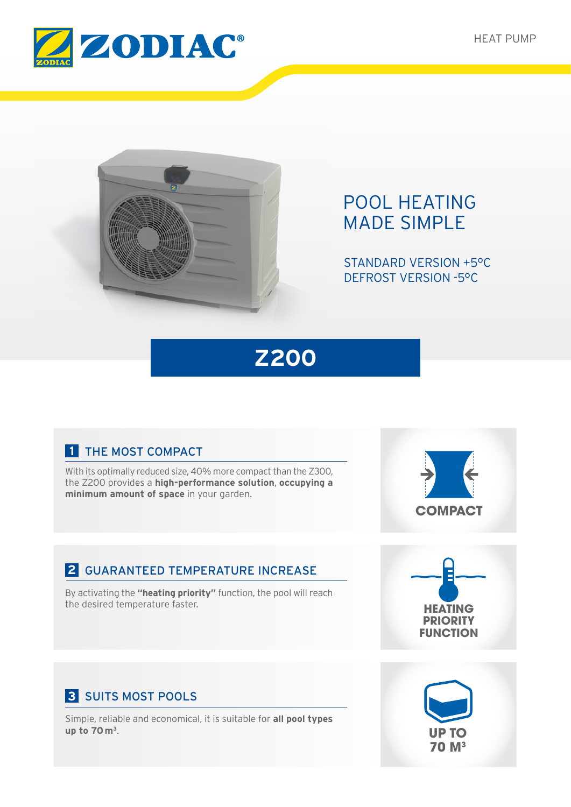



# POOL HEATING MADE SIMPLE

STANDARD VERSION +5°C DEFROST VERSION -5°C



## **1** THE MOST COMPACT

With its optimally reduced size, 40% more compact than the Z300, the Z200 provides a **high-performance solution**, **occupying a minimum amount of space** in your garden.



## **2** GUARANTEED TEMPERATURE INCREASE

By activating the **"heating priority"** function, the pool will reach the desired temperature faster.



## **3** SUITS MOST POOLS

Simple, reliable and economical, it is suitable for **all pool types up to 70 m3**.